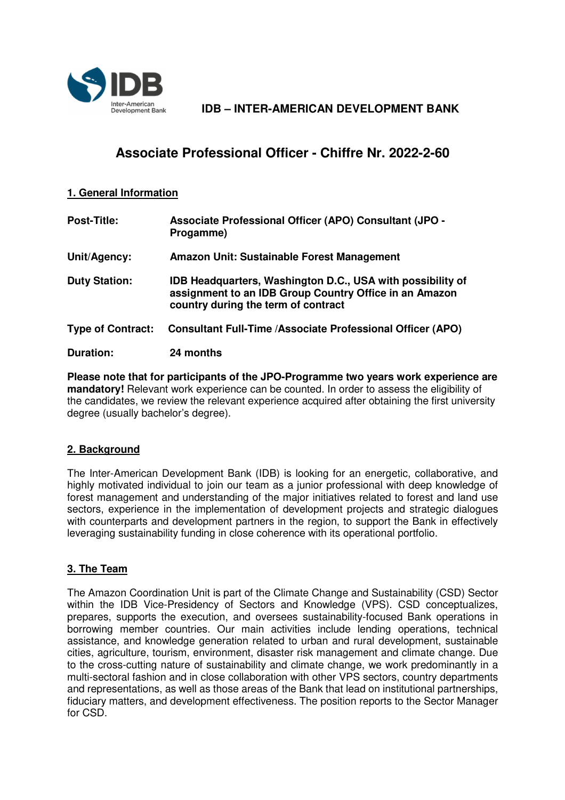

Inter-American **IDB – INTER-AMERICAN DEVELOPMENT BANK** 

# **Associate Professional Officer - Chiffre Nr. 2022-2-60**

#### **1. General Information**

| <b>Post-Title:</b>       | <b>Associate Professional Officer (APO) Consultant (JPO -</b><br>Progamme)                                                                                  |
|--------------------------|-------------------------------------------------------------------------------------------------------------------------------------------------------------|
| Unit/Agency:             | Amazon Unit: Sustainable Forest Management                                                                                                                  |
| <b>Duty Station:</b>     | IDB Headquarters, Washington D.C., USA with possibility of<br>assignment to an IDB Group Country Office in an Amazon<br>country during the term of contract |
| <b>Type of Contract:</b> | <b>Consultant Full-Time /Associate Professional Officer (APO)</b>                                                                                           |
| Duration:                | 24 months                                                                                                                                                   |

**Please note that for participants of the JPO-Programme two years work experience are mandatory!** Relevant work experience can be counted. In order to assess the eligibility of the candidates, we review the relevant experience acquired after obtaining the first university degree (usually bachelor's degree).

## **2. Background**

The Inter-American Development Bank (IDB) is looking for an energetic, collaborative, and highly motivated individual to join our team as a junior professional with deep knowledge of forest management and understanding of the major initiatives related to forest and land use sectors, experience in the implementation of development projects and strategic dialogues with counterparts and development partners in the region, to support the Bank in effectively leveraging sustainability funding in close coherence with its operational portfolio.

## **3. The Team**

The Amazon Coordination Unit is part of the Climate Change and Sustainability (CSD) Sector within the IDB Vice-Presidency of Sectors and Knowledge (VPS). CSD conceptualizes, prepares, supports the execution, and oversees sustainability-focused Bank operations in borrowing member countries. Our main activities include lending operations, technical assistance, and knowledge generation related to urban and rural development, sustainable cities, agriculture, tourism, environment, disaster risk management and climate change. Due to the cross-cutting nature of sustainability and climate change, we work predominantly in a multi-sectoral fashion and in close collaboration with other VPS sectors, country departments and representations, as well as those areas of the Bank that lead on institutional partnerships, fiduciary matters, and development effectiveness. The position reports to the Sector Manager for CSD.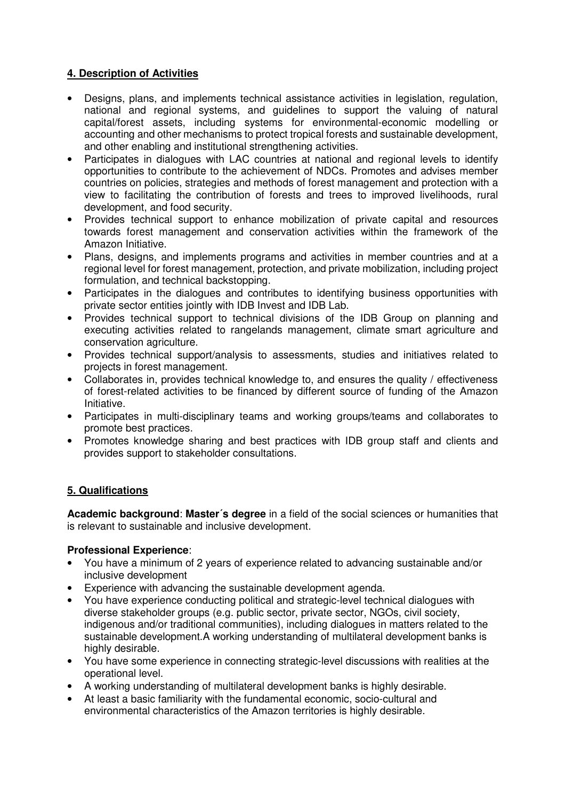## **4. Description of Activities**

- Designs, plans, and implements technical assistance activities in legislation, regulation, national and regional systems, and guidelines to support the valuing of natural capital/forest assets, including systems for environmental-economic modelling or accounting and other mechanisms to protect tropical forests and sustainable development, and other enabling and institutional strengthening activities.
- Participates in dialogues with LAC countries at national and regional levels to identify opportunities to contribute to the achievement of NDCs. Promotes and advises member countries on policies, strategies and methods of forest management and protection with a view to facilitating the contribution of forests and trees to improved livelihoods, rural development, and food security.
- Provides technical support to enhance mobilization of private capital and resources towards forest management and conservation activities within the framework of the Amazon Initiative.
- Plans, designs, and implements programs and activities in member countries and at a regional level for forest management, protection, and private mobilization, including project formulation, and technical backstopping.
- Participates in the dialogues and contributes to identifying business opportunities with private sector entities jointly with IDB Invest and IDB Lab.
- Provides technical support to technical divisions of the IDB Group on planning and executing activities related to rangelands management, climate smart agriculture and conservation agriculture.
- Provides technical support/analysis to assessments, studies and initiatives related to projects in forest management.
- Collaborates in, provides technical knowledge to, and ensures the quality / effectiveness of forest-related activities to be financed by different source of funding of the Amazon Initiative.
- Participates in multi-disciplinary teams and working groups/teams and collaborates to promote best practices.
- Promotes knowledge sharing and best practices with IDB group staff and clients and provides support to stakeholder consultations.

## **5. Qualifications**

**Academic background**: **Master´s degree** in a field of the social sciences or humanities that is relevant to sustainable and inclusive development.

#### **Professional Experience**:

- You have a minimum of 2 years of experience related to advancing sustainable and/or inclusive development
- Experience with advancing the sustainable development agenda.
- You have experience conducting political and strategic-level technical dialogues with diverse stakeholder groups (e.g. public sector, private sector, NGOs, civil society, indigenous and/or traditional communities), including dialogues in matters related to the sustainable development.A working understanding of multilateral development banks is highly desirable.
- You have some experience in connecting strategic-level discussions with realities at the operational level.
- A working understanding of multilateral development banks is highly desirable.
- At least a basic familiarity with the fundamental economic, socio-cultural and environmental characteristics of the Amazon territories is highly desirable.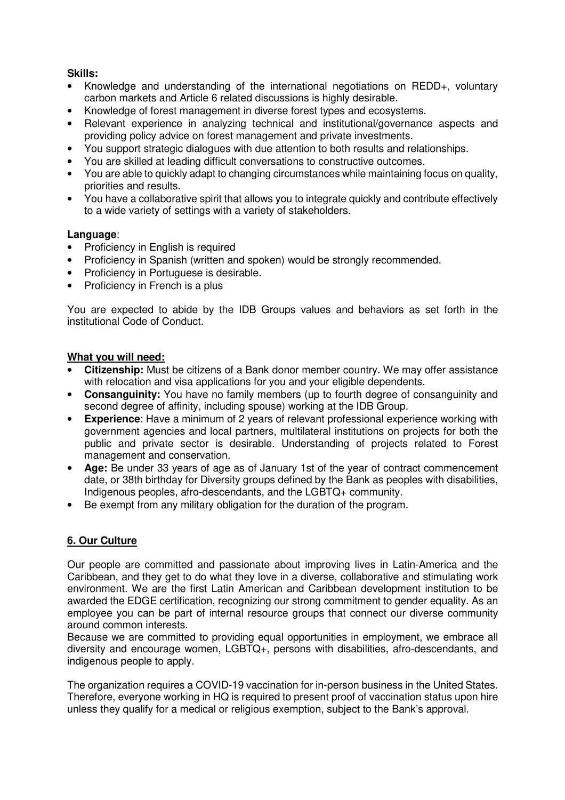## **Skills:**

- Knowledge and understanding of the international negotiations on REDD+, voluntary carbon markets and Article 6 related discussions is highly desirable.
- Knowledge of forest management in diverse forest types and ecosystems.
- Relevant experience in analyzing technical and institutional/governance aspects and providing policy advice on forest management and private investments.
- You support strategic dialogues with due attention to both results and relationships.
- You are skilled at leading difficult conversations to constructive outcomes.
- You are able to quickly adapt to changing circumstances while maintaining focus on quality. priorities and results.
- You have a collaborative spirit that allows you to integrate quickly and contribute effectively to a wide variety of settings with a variety of stakeholders.

#### **Language**:

- **Proficiency in English is required**
- Proficiency in Spanish (written and spoken) would be strongly recommended.
- Proficiency in Portuguese is desirable.
- Proficiency in French is a plus

You are expected to abide by the IDB Groups values and behaviors as set forth in the institutional Code of Conduct.

#### **What you will need:**

- **Citizenship:** Must be citizens of a Bank donor member country. We may offer assistance with relocation and visa applications for you and your eligible dependents.
- **Consanguinity:** You have no family members (up to fourth degree of consanguinity and second degree of affinity, including spouse) working at the IDB Group.
- **Experience**: Have a minimum of 2 years of relevant professional experience working with government agencies and local partners, multilateral institutions on projects for both the public and private sector is desirable. Understanding of projects related to Forest management and conservation.
- **Age:** Be under 33 years of age as of January 1st of the year of contract commencement date, or 38th birthday for Diversity groups defined by the Bank as peoples with disabilities, Indigenous peoples, afro-descendants, and the LGBTQ+ community.
- Be exempt from any military obligation for the duration of the program.

## **6. Our Culture**

Our people are committed and passionate about improving lives in Latin-America and the Caribbean, and they get to do what they love in a diverse, collaborative and stimulating work environment. We are the first Latin American and Caribbean development institution to be awarded the EDGE certification, recognizing our strong commitment to gender equality. As an employee you can be part of internal resource groups that connect our diverse community around common interests.

Because we are committed to providing equal opportunities in employment, we embrace all diversity and encourage women, LGBTQ+, persons with disabilities, afro-descendants, and indigenous people to apply.

The organization requires a COVID-19 vaccination for in-person business in the United States. Therefore, everyone working in HQ is required to present proof of vaccination status upon hire unless they qualify for a medical or religious exemption, subject to the Bank's approval.